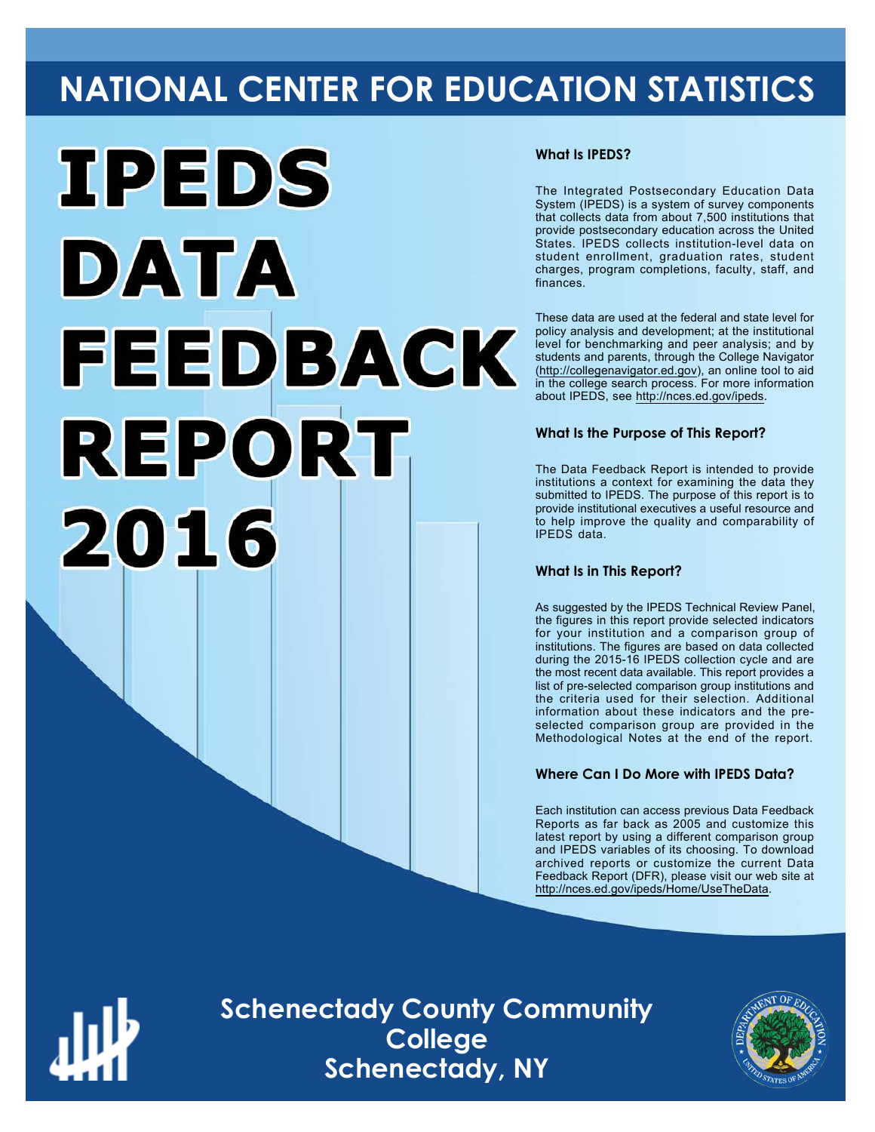# **NATIONAL CENTER FOR EDUCATION STATISTICS**



#### **What Is IPEDS?**

The Integrated Postsecondary Education Data System (IPEDS) is a system of survey components that collects data from about 7,500 institutions that provide postsecondary education across the United States. IPEDS collects institution-level data on student enrollment, graduation rates, student charges, program completions, faculty, staff, and finances.

These data are used at the federal and state level for policy analysis and development; at the institutional level for benchmarking and peer analysis; and by students and parents, through the College Navigator ([http://collegenavigator.ed.gov\)](http://collegenavigator.ed.gov), an online tool to aid in the college search process. For more information about IPEDS, see [http://nces.ed.gov/ipeds.](http://nces.ed.gov/ipeds)

#### **What Is the Purpose of This Report?**

The Data Feedback Report is intended to provide institutions a context for examining the data they submitted to IPEDS. The purpose of this report is to provide institutional executives a useful resource and to help improve the quality and comparability of IPEDS data.

#### **What Is in This Report?**

As suggested by the IPEDS Technical Review Panel, the figures in this report provide selected indicators for your institution and a comparison group of institutions. The figures are based on data collected during the 2015-16 IPEDS collection cycle and are the most recent data available. This report provides a list of pre-selected comparison group institutions and the criteria used for their selection. Additional information about these indicators and the preselected comparison group are provided in the Methodological Notes at the end of the report.

#### **Where Can I Do More with IPEDS Data?**

Each institution can access previous Data Feedback Reports as far back as 2005 and customize this latest report by using a different comparison group and IPEDS variables of its choosing. To download archived reports or customize the current Data Feedback Report (DFR), please visit our web site at [http://nces.ed.gov/ipeds/Home/UseTheData.](http://nces.ed.gov/ipeds/Home/UseTheData)



**Schenectady County Community College Schenectady, NY**

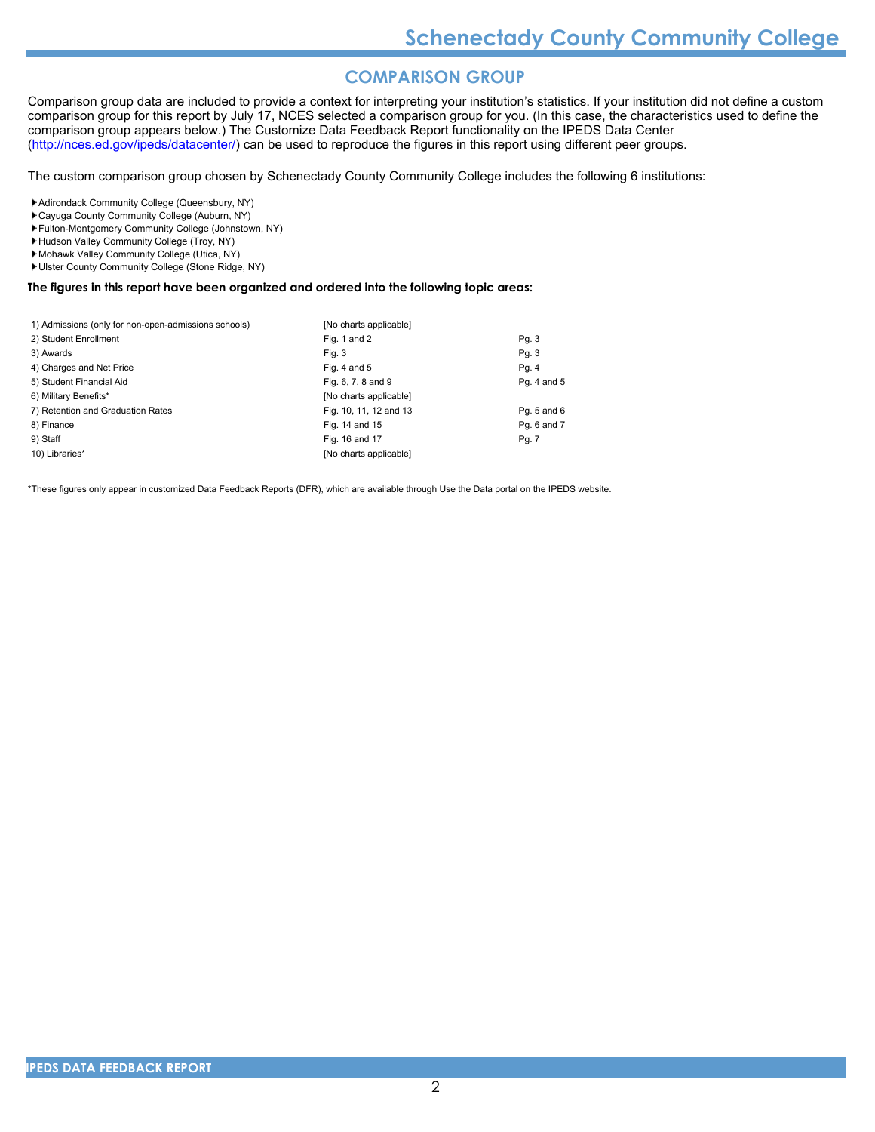## **COMPARISON GROUP**

Comparison group data are included to provide a context for interpreting your institution's statistics. If your institution did not define a custom comparison group for this report by July 17, NCES selected a comparison group for you. (In this case, the characteristics used to define the comparison group appears below.) The Customize Data Feedback Report functionality on the IPEDS Data Center [\(http://nces.ed.gov/ipeds/datacenter/\)](http://nces.ed.gov/ipeds/datacenter/) can be used to reproduce the figures in this report using different peer groups.

The custom comparison group chosen by Schenectady County Community College includes the following 6 institutions:

Adirondack Community College (Queensbury, NY)

- Cayuga County Community College (Auburn, NY)
- Fulton-Montgomery Community College (Johnstown, NY)
- Hudson Valley Community College (Troy, NY)
- Mohawk Valley Community College (Utica, NY)
- Ulster County Community College (Stone Ridge, NY)

#### **The figures in this report have been organized and ordered into the following topic areas:**

| 1) Admissions (only for non-open-admissions schools) | [No charts applicable] |             |
|------------------------------------------------------|------------------------|-------------|
| 2) Student Enrollment                                | Fig. 1 and 2           | Pg. 3       |
| 3) Awards                                            | Fig. 3                 | Pg. 3       |
| 4) Charges and Net Price                             | Fig. 4 and $5$         | Pg. 4       |
| 5) Student Financial Aid                             | Fig. 6, 7, 8 and 9     | Pg. 4 and 5 |
| 6) Military Benefits*                                | [No charts applicable] |             |
| 7) Retention and Graduation Rates                    | Fig. 10, 11, 12 and 13 | Pg. 5 and 6 |
| 8) Finance                                           | Fig. 14 and 15         | Pg. 6 and 7 |
| 9) Staff                                             | Fig. 16 and 17         | Pg. 7       |
| 10) Libraries*                                       | [No charts applicable] |             |

\*These figures only appear in customized Data Feedback Reports (DFR), which are available through Use the Data portal on the IPEDS website.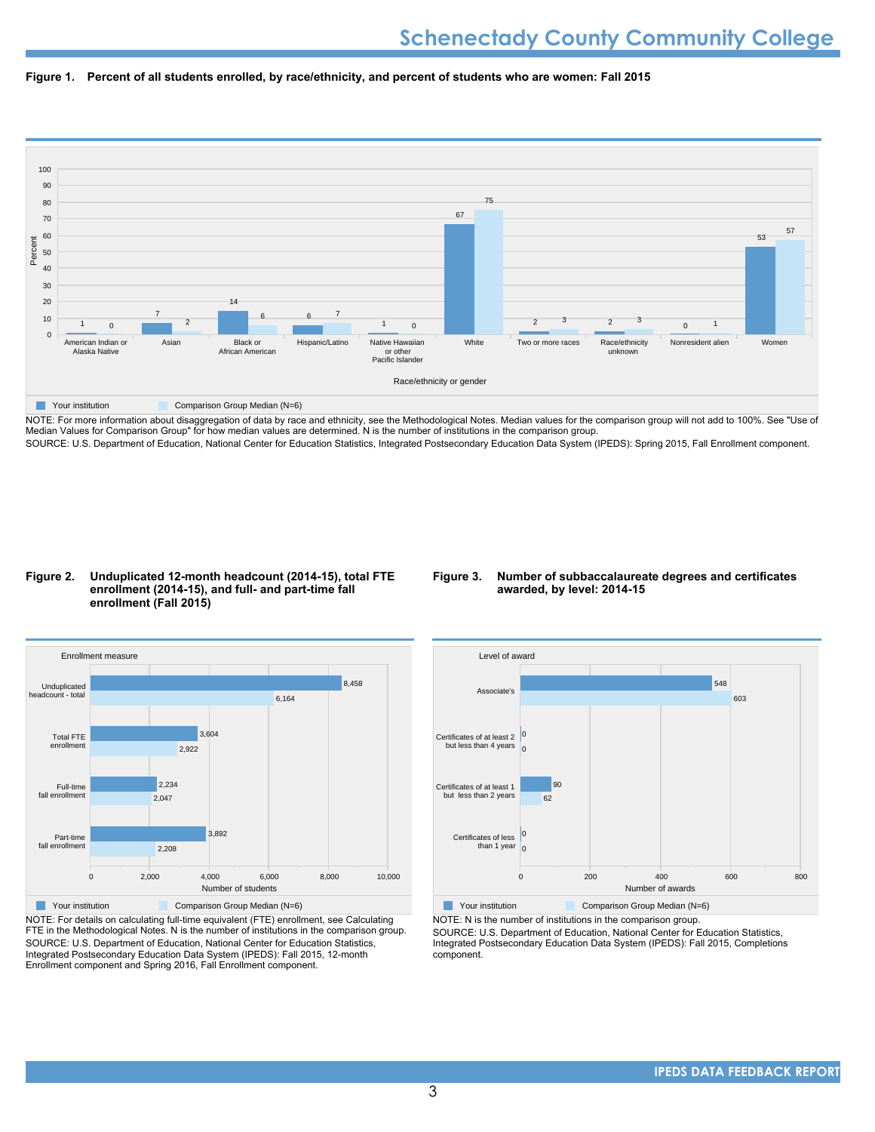



NOTE: For more information about disaggregation of data by race and ethnicity, see the Methodological Notes. Median values for the comparison group will not add to 100%. See "Use of Median Values for Comparison Group" for how median values are determined. N is the number of institutions in the comparison group. SOURCE: U.S. Department of Education, National Center for Education Statistics, Integrated Postsecondary Education Data System (IPEDS): Spring 2015, Fall Enrollment component.

#### **Figure 2. Unduplicated 12-month headcount (2014-15), total FTE enrollment (2014-15), and full- and part-time fall enrollment (Fall 2015)**

#### **Figure 3. Number of subbaccalaureate degrees and certificates awarded, by level: 2014-15**



NOTE: For details on calculating full-time equivalent (FTE) enrollment, see Calculating FTE in the Methodological Notes. N is the number of institutions in the comparison group. SOURCE: U.S. Department of Education, National Center for Education Statistics, Integrated Postsecondary Education Data System (IPEDS): Fall 2015, 12-month Enrollment component and Spring 2016, Fall Enrollment component.



**Your institution** Comparison Group Median (N=6)

NOTE: N is the number of institutions in the comparison group.

SOURCE: U.S. Department of Education, National Center for Education Statistics, Integrated Postsecondary Education Data System (IPEDS): Fall 2015, Completions component.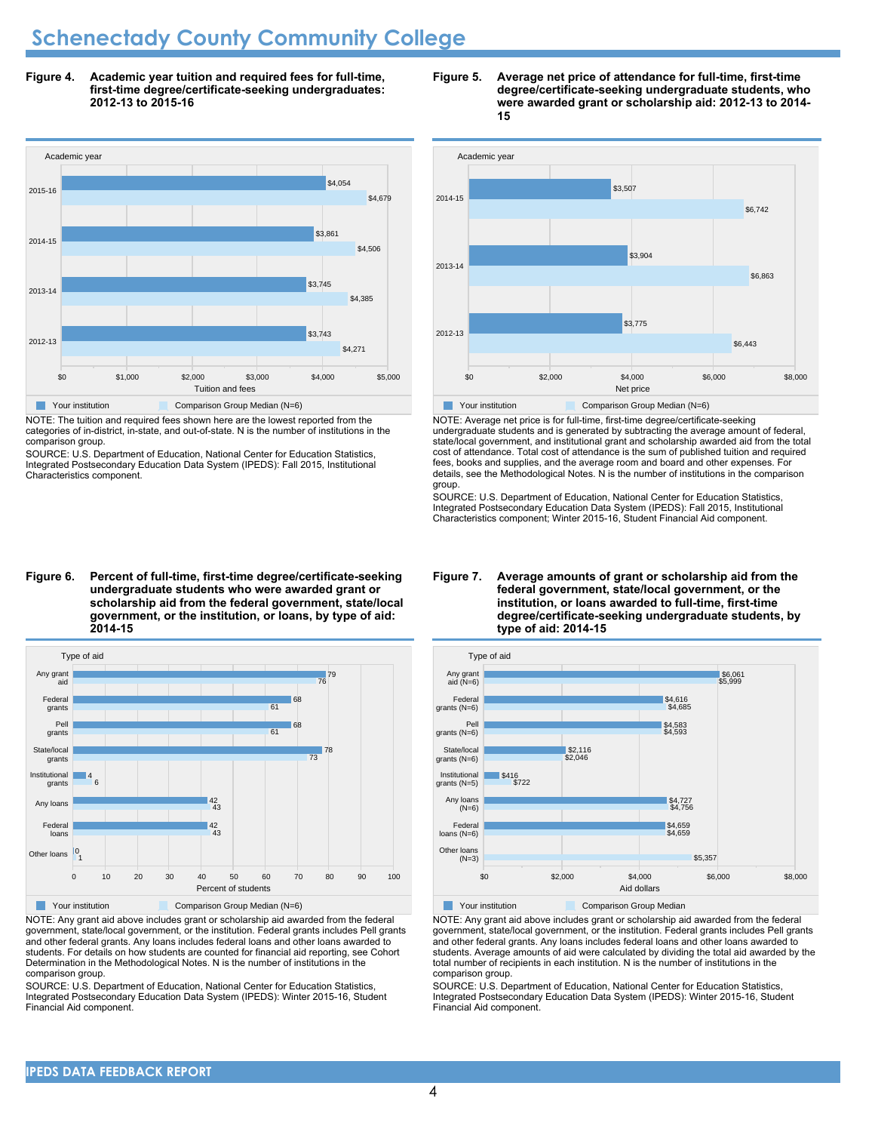# **Schenectady County Community College**

**Figure 4. Academic year tuition and required fees for full-time, first-time degree/certificate-seeking undergraduates: 2012-13 to 2015-16**



NOTE: The tuition and required fees shown here are the lowest reported from the categories of in-district, in-state, and out-of-state. N is the number of institutions in the comparison group.

SOURCE: U.S. Department of Education, National Center for Education Statistics, Integrated Postsecondary Education Data System (IPEDS): Fall 2015, Institutional Characteristics component.

#### **Figure 5. Average net price of attendance for full-time, first-time degree/certificate-seeking undergraduate students, who were awarded grant or scholarship aid: 2012-13 to 2014- 15**



NOTE: Average net price is for full-time, first-time degree/certificate-seeking undergraduate students and is generated by subtracting the average amount of federal, state/local government, and institutional grant and scholarship awarded aid from the total cost of attendance. Total cost of attendance is the sum of published tuition and required fees, books and supplies, and the average room and board and other expenses. For details, see the Methodological Notes. N is the number of institutions in the comparison group.

SOURCE: U.S. Department of Education, National Center for Education Statistics, Integrated Postsecondary Education Data System (IPEDS): Fall 2015, Institutional Characteristics component; Winter 2015-16, Student Financial Aid component.

#### **Figure 6. Percent of full-time, first-time degree/certificate-seeking undergraduate students who were awarded grant or scholarship aid from the federal government, state/local government, or the institution, or loans, by type of aid: 2014-15**



NOTE: Any grant aid above includes grant or scholarship aid awarded from the federal government, state/local government, or the institution. Federal grants includes Pell grants and other federal grants. Any loans includes federal loans and other loans awarded to students. For details on how students are counted for financial aid reporting, see Cohort Determination in the Methodological Notes. N is the number of institutions in the comparison group.

SOURCE: U.S. Department of Education, National Center for Education Statistics, Integrated Postsecondary Education Data System (IPEDS): Winter 2015-16, Student Financial Aid component.

#### **Figure 7. Average amounts of grant or scholarship aid from the federal government, state/local government, or the institution, or loans awarded to full-time, first-time degree/certificate-seeking undergraduate students, by type of aid: 2014-15**



Your institution **Comparison Group Median** 

NOTE: Any grant aid above includes grant or scholarship aid awarded from the federal government, state/local government, or the institution. Federal grants includes Pell grants and other federal grants. Any loans includes federal loans and other loans awarded to students. Average amounts of aid were calculated by dividing the total aid awarded by the total number of recipients in each institution. N is the number of institutions in the comparison group.

SOURCE: U.S. Department of Education, National Center for Education Statistics, Integrated Postsecondary Education Data System (IPEDS): Winter 2015-16, Student Financial Aid component.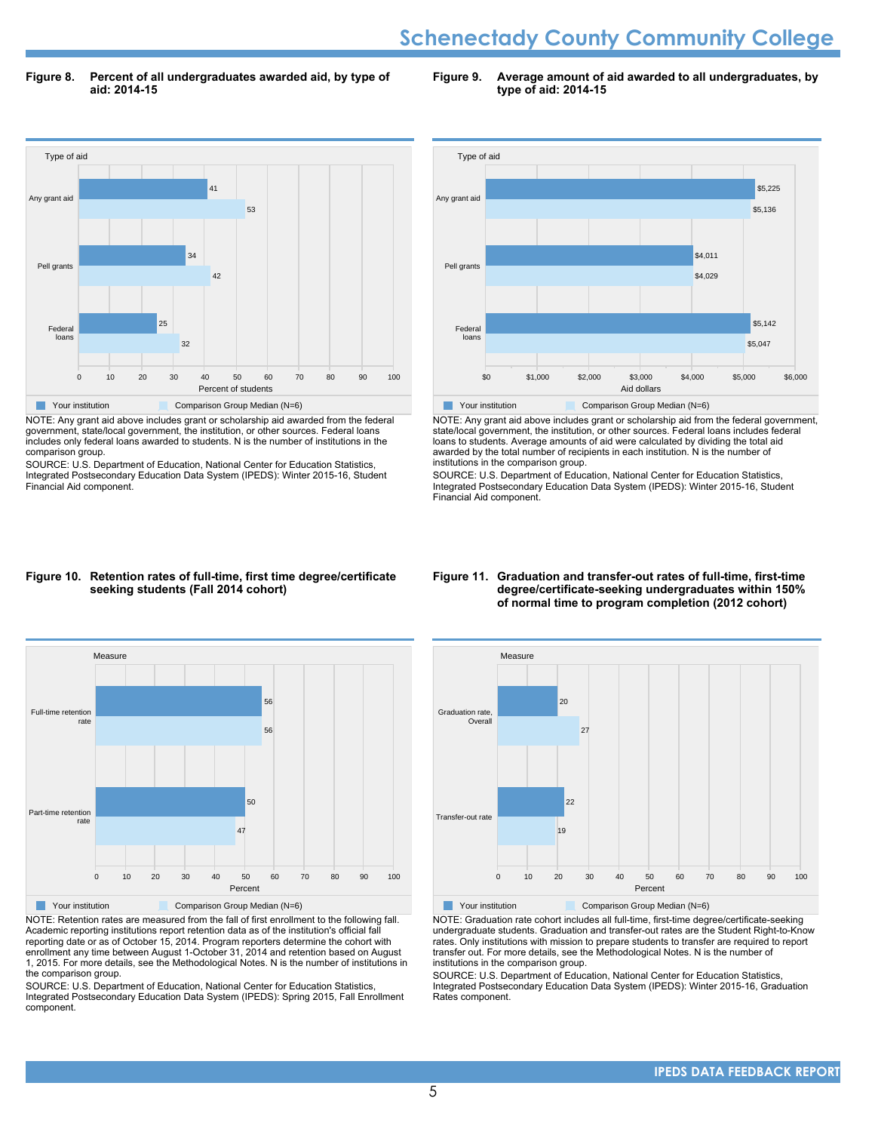# **Schenectady County Community College**

**Figure 8. Percent of all undergraduates awarded aid, by type of aid: 2014-15**

**Figure 9. Average amount of aid awarded to all undergraduates, by type of aid: 2014-15**



NOTE: Any grant aid above includes grant or scholarship aid awarded from the federal government, state/local government, the institution, or other sources. Federal loans includes only federal loans awarded to students. N is the number of institutions in the comparison group.

SOURCE: U.S. Department of Education, National Center for Education Statistics, Integrated Postsecondary Education Data System (IPEDS): Winter 2015-16, Student Financial Aid component.



NOTE: Any grant aid above includes grant or scholarship aid from the federal government, state/local government, the institution, or other sources. Federal loans includes federal loans to students. Average amounts of aid were calculated by dividing the total aid awarded by the total number of recipients in each institution. N is the number of institutions in the comparison group.

SOURCE: U.S. Department of Education, National Center for Education Statistics, Integrated Postsecondary Education Data System (IPEDS): Winter 2015-16, Student Financial Aid component.

#### **Figure 10. Retention rates of full-time, first time degree/certificate seeking students (Fall 2014 cohort)**



NOTE: Retention rates are measured from the fall of first enrollment to the following fall. Academic reporting institutions report retention data as of the institution's official fall reporting date or as of October 15, 2014. Program reporters determine the cohort with enrollment any time between August 1-October 31, 2014 and retention based on August 1, 2015. For more details, see the Methodological Notes. N is the number of institutions in the comparison group.

SOURCE: U.S. Department of Education, National Center for Education Statistics, Integrated Postsecondary Education Data System (IPEDS): Spring 2015, Fall Enrollment component.

#### **Figure 11. Graduation and transfer-out rates of full-time, first-time degree/certificate-seeking undergraduates within 150% of normal time to program completion (2012 cohort)**



NOTE: Graduation rate cohort includes all full-time, first-time degree/certificate-seeking undergraduate students. Graduation and transfer-out rates are the Student Right-to-Know rates. Only institutions with mission to prepare students to transfer are required to report transfer out. For more details, see the Methodological Notes. N is the number of institutions in the comparison group.

SOURCE: U.S. Department of Education, National Center for Education Statistics, Integrated Postsecondary Education Data System (IPEDS): Winter 2015-16, Graduation Rates component.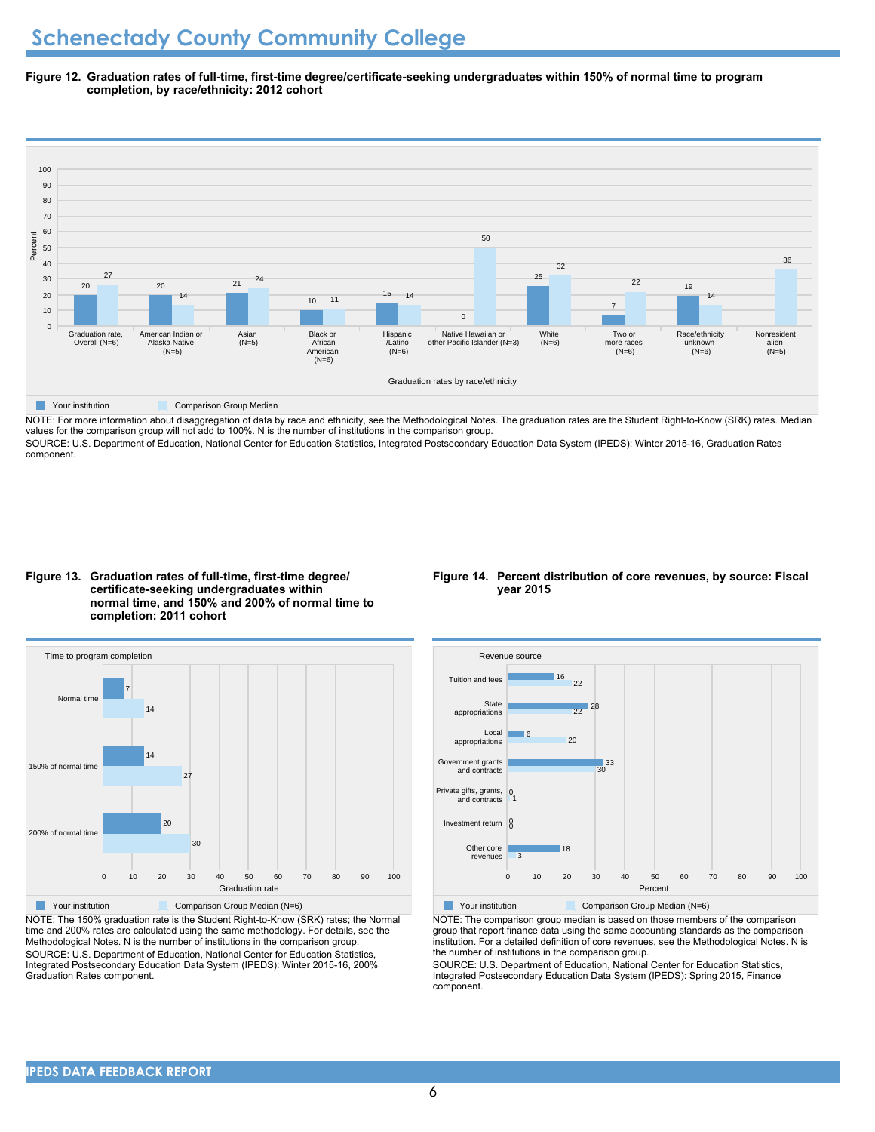**Figure 12. Graduation rates of full-time, first-time degree/certificate-seeking undergraduates within 150% of normal time to program completion, by race/ethnicity: 2012 cohort**



NOTE: For more information about disaggregation of data by race and ethnicity, see the Methodological Notes. The graduation rates are the Student Right-to-Know (SRK) rates. Median values for the comparison group will not add to 100%. N is the number of institutions in the comparison group.

SOURCE: U.S. Department of Education, National Center for Education Statistics, Integrated Postsecondary Education Data System (IPEDS): Winter 2015-16, Graduation Rates component.

**Figure 13. Graduation rates of full-time, first-time degree/ certificate-seeking undergraduates within normal time, and 150% and 200% of normal time to completion: 2011 cohort**



NOTE: The 150% graduation rate is the Student Right-to-Know (SRK) rates; the Normal time and 200% rates are calculated using the same methodology. For details, see the Methodological Notes. N is the number of institutions in the comparison group. SOURCE: U.S. Department of Education, National Center for Education Statistics, Integrated Postsecondary Education Data System (IPEDS): Winter 2015-16, 200% Graduation Rates component.

#### **Figure 14. Percent distribution of core revenues, by source: Fiscal year 2015**



Your institution **Comparison Group Median (N=6)** 

NOTE: The comparison group median is based on those members of the comparison group that report finance data using the same accounting standards as the comparison institution. For a detailed definition of core revenues, see the Methodological Notes. N is the number of institutions in the comparison group.

SOURCE: U.S. Department of Education, National Center for Education Statistics, Integrated Postsecondary Education Data System (IPEDS): Spring 2015, Finance component.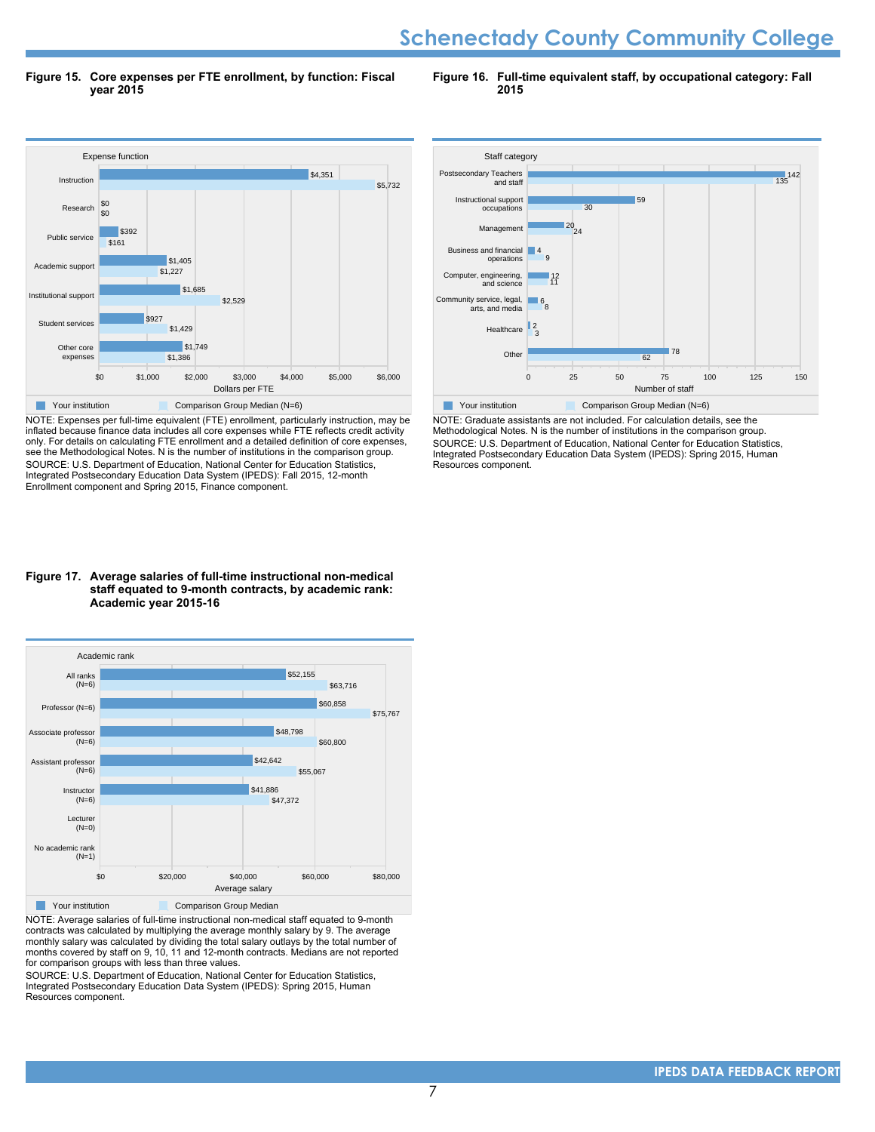# **Schenectady County Community College**

**Figure 15. Core expenses per FTE enrollment, by function: Fiscal year 2015**

**Figure 16. Full-time equivalent staff, by occupational category: Fall 2015**



NOTE: Expenses per full-time equivalent (FTE) enrollment, particularly instruction, may be inflated because finance data includes all core expenses while FTE reflects credit activity only. For details on calculating FTE enrollment and a detailed definition of core expenses, see the Methodological Notes. N is the number of institutions in the comparison group. SOURCE: U.S. Department of Education, National Center for Education Statistics, Integrated Postsecondary Education Data System (IPEDS): Fall 2015, 12-month Enrollment component and Spring 2015, Finance component.

#### **Figure 17. Average salaries of full-time instructional non-medical staff equated to 9-month contracts, by academic rank: Academic year 2015-16**



NOTE: Average salaries of full-time instructional non-medical staff equated to 9-month contracts was calculated by multiplying the average monthly salary by 9. The average monthly salary was calculated by dividing the total salary outlays by the total number of months covered by staff on 9, 10, 11 and 12-month contracts. Medians are not reported for comparison groups with less than three values.

SOURCE: U.S. Department of Education, National Center for Education Statistics, Integrated Postsecondary Education Data System (IPEDS): Spring 2015, Human Resources component.



NOTE: Graduate assistants are not included. For calculation details, see the Methodological Notes. N is the number of institutions in the comparison group. SOURCE: U.S. Department of Education, National Center for Education Statistics, Integrated Postsecondary Education Data System (IPEDS): Spring 2015, Human Resources component.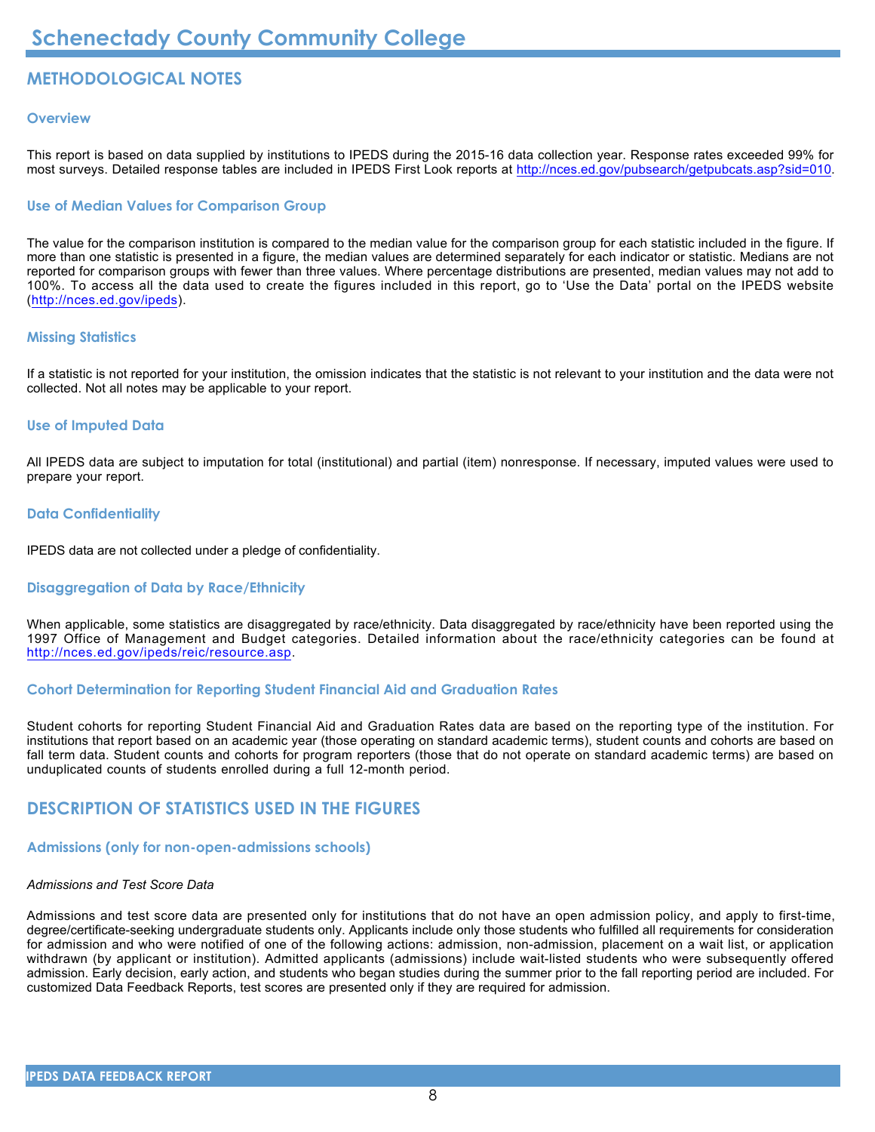# **METHODOLOGICAL NOTES**

#### **Overview**

This report is based on data supplied by institutions to IPEDS during the 2015-16 data collection year. Response rates exceeded 99% for most surveys. Detailed response tables are included in IPEDS First Look reports at [http://nces.ed.gov/pubsearch/getpubcats.asp?sid=010.](http://nces.ed.gov/pubsearch/getpubcats.asp?sid=010)

#### **Use of Median Values for Comparison Group**

The value for the comparison institution is compared to the median value for the comparison group for each statistic included in the figure. If more than one statistic is presented in a figure, the median values are determined separately for each indicator or statistic. Medians are not reported for comparison groups with fewer than three values. Where percentage distributions are presented, median values may not add to 100%. To access all the data used to create the figures included in this report, go to 'Use the Data' portal on the IPEDS website (<http://nces.ed.gov/ipeds>).

#### **Missing Statistics**

If a statistic is not reported for your institution, the omission indicates that the statistic is not relevant to your institution and the data were not collected. Not all notes may be applicable to your report.

#### **Use of Imputed Data**

All IPEDS data are subject to imputation for total (institutional) and partial (item) nonresponse. If necessary, imputed values were used to prepare your report.

#### **Data Confidentiality**

IPEDS data are not collected under a pledge of confidentiality.

#### **Disaggregation of Data by Race/Ethnicity**

When applicable, some statistics are disaggregated by race/ethnicity. Data disaggregated by race/ethnicity have been reported using the 1997 Office of Management and Budget categories. Detailed information about the race/ethnicity categories can be found at <http://nces.ed.gov/ipeds/reic/resource.asp>.

#### **Cohort Determination for Reporting Student Financial Aid and Graduation Rates**

Student cohorts for reporting Student Financial Aid and Graduation Rates data are based on the reporting type of the institution. For institutions that report based on an academic year (those operating on standard academic terms), student counts and cohorts are based on fall term data. Student counts and cohorts for program reporters (those that do not operate on standard academic terms) are based on unduplicated counts of students enrolled during a full 12-month period.

### **DESCRIPTION OF STATISTICS USED IN THE FIGURES**

### **Admissions (only for non-open-admissions schools)**

### *Admissions and Test Score Data*

Admissions and test score data are presented only for institutions that do not have an open admission policy, and apply to first-time, degree/certificate-seeking undergraduate students only. Applicants include only those students who fulfilled all requirements for consideration for admission and who were notified of one of the following actions: admission, non-admission, placement on a wait list, or application withdrawn (by applicant or institution). Admitted applicants (admissions) include wait-listed students who were subsequently offered admission. Early decision, early action, and students who began studies during the summer prior to the fall reporting period are included. For customized Data Feedback Reports, test scores are presented only if they are required for admission.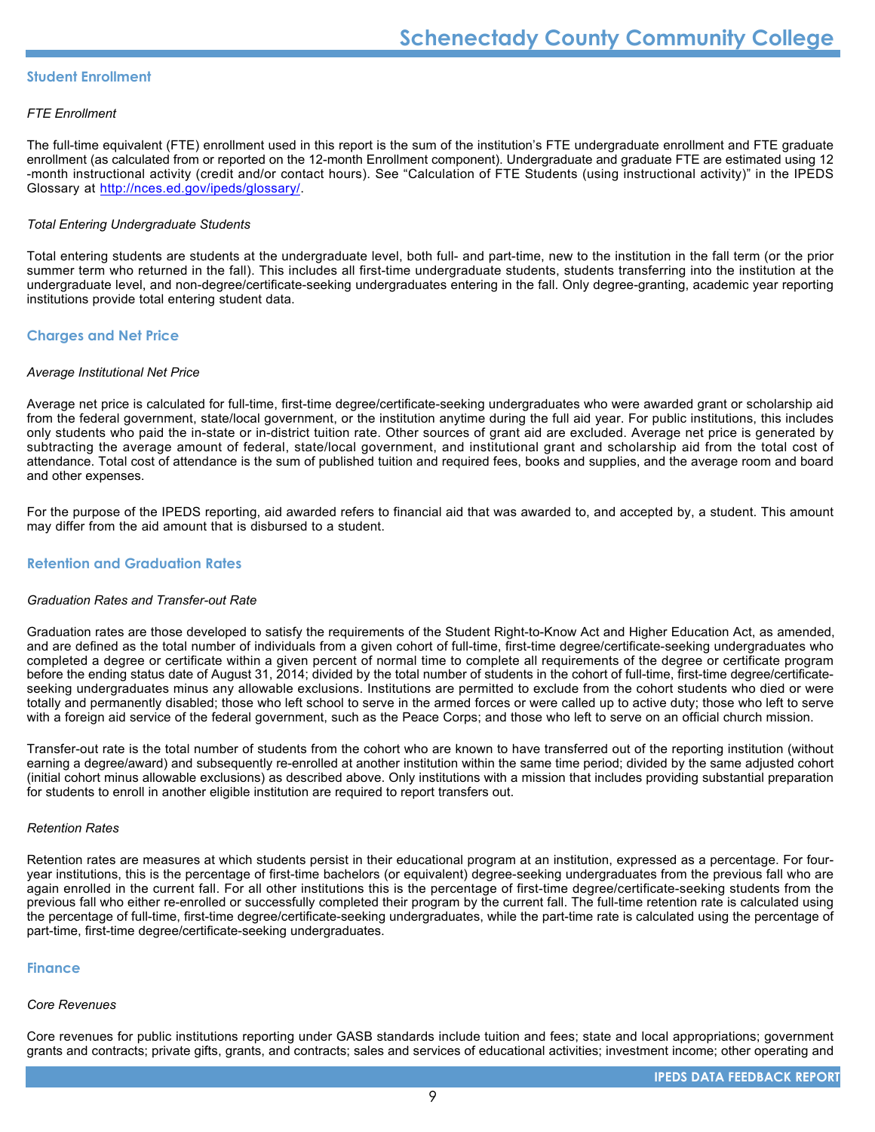#### **Student Enrollment**

#### *FTE Enrollment*

The full-time equivalent (FTE) enrollment used in this report is the sum of the institution's FTE undergraduate enrollment and FTE graduate enrollment (as calculated from or reported on the 12-month Enrollment component). Undergraduate and graduate FTE are estimated using 12 -month instructional activity (credit and/or contact hours). See "Calculation of FTE Students (using instructional activity)" in the IPEDS Glossary at <http://nces.ed.gov/ipeds/glossary/>.

#### *Total Entering Undergraduate Students*

Total entering students are students at the undergraduate level, both full- and part-time, new to the institution in the fall term (or the prior summer term who returned in the fall). This includes all first-time undergraduate students, students transferring into the institution at the undergraduate level, and non-degree/certificate-seeking undergraduates entering in the fall. Only degree-granting, academic year reporting institutions provide total entering student data.

#### **Charges and Net Price**

#### *Average Institutional Net Price*

Average net price is calculated for full-time, first-time degree/certificate-seeking undergraduates who were awarded grant or scholarship aid from the federal government, state/local government, or the institution anytime during the full aid year. For public institutions, this includes only students who paid the in-state or in-district tuition rate. Other sources of grant aid are excluded. Average net price is generated by subtracting the average amount of federal, state/local government, and institutional grant and scholarship aid from the total cost of attendance. Total cost of attendance is the sum of published tuition and required fees, books and supplies, and the average room and board and other expenses.

For the purpose of the IPEDS reporting, aid awarded refers to financial aid that was awarded to, and accepted by, a student. This amount may differ from the aid amount that is disbursed to a student.

#### **Retention and Graduation Rates**

#### *Graduation Rates and Transfer-out Rate*

Graduation rates are those developed to satisfy the requirements of the Student Right-to-Know Act and Higher Education Act, as amended, and are defined as the total number of individuals from a given cohort of full-time, first-time degree/certificate-seeking undergraduates who completed a degree or certificate within a given percent of normal time to complete all requirements of the degree or certificate program before the ending status date of August 31, 2014; divided by the total number of students in the cohort of full-time, first-time degree/certificateseeking undergraduates minus any allowable exclusions. Institutions are permitted to exclude from the cohort students who died or were totally and permanently disabled; those who left school to serve in the armed forces or were called up to active duty; those who left to serve with a foreign aid service of the federal government, such as the Peace Corps; and those who left to serve on an official church mission.

Transfer-out rate is the total number of students from the cohort who are known to have transferred out of the reporting institution (without earning a degree/award) and subsequently re-enrolled at another institution within the same time period; divided by the same adjusted cohort (initial cohort minus allowable exclusions) as described above. Only institutions with a mission that includes providing substantial preparation for students to enroll in another eligible institution are required to report transfers out.

#### *Retention Rates*

Retention rates are measures at which students persist in their educational program at an institution, expressed as a percentage. For fouryear institutions, this is the percentage of first-time bachelors (or equivalent) degree-seeking undergraduates from the previous fall who are again enrolled in the current fall. For all other institutions this is the percentage of first-time degree/certificate-seeking students from the previous fall who either re-enrolled or successfully completed their program by the current fall. The full-time retention rate is calculated using the percentage of full-time, first-time degree/certificate-seeking undergraduates, while the part-time rate is calculated using the percentage of part-time, first-time degree/certificate-seeking undergraduates.

#### **Finance**

#### *Core Revenues*

Core revenues for public institutions reporting under GASB standards include tuition and fees; state and local appropriations; government grants and contracts; private gifts, grants, and contracts; sales and services of educational activities; investment income; other operating and